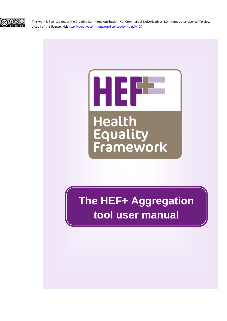

This work is licensed under the Creative Commons Attribution-NonCommercial-NoDerivatives 4.0 International License. To view a copy of this license, visi[t http://creativecommons.org/licenses/by-nc-nd/4.0/.](http://creativecommons.org/licenses/by-nc-nd/4.0/)



**The HEF+ Aggregation tool user manual**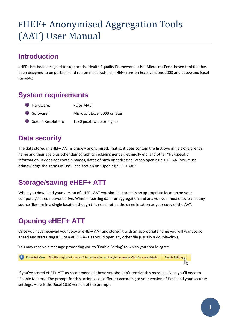# EHEF+ Anonymised Aggregation Tools (AAT) User Manual

## **Introduction**

eHEF+ has been designed to support the Health Equality Framework. It is a Microsoft Excel-based tool that has been designed to be portable and run on most systems. eHEF+ runs on Excel versions 2003 and above and Excel for MAC.

### **System requirements**

| Hardware:          | PC or MAC                     |
|--------------------|-------------------------------|
| Software:          | Microsoft Excel 2003 or later |
| Screen Resolution: | 1280 pixels wide or higher    |

## **Data security**

The data stored in eHEF+ AAT is crudely anonymised. That is, it does contain the first two initials of a client's name and their age plus other demographics including gender, ethnicity etc. and other "HEFspecific" information. It does not contain names, dates of birth or addresses. When opening eHEF+ AAT you must acknowledge the Terms of Use – see section on 'Opening eHEF+ AAT'

## **Storage/saving eHEF+ ATT**

When you download your version of eHEF+ AAT you should store it in an appropriate location on your computer/shared network drive. When importing data for aggregation and analysis you must ensure that any source files are in a single location though this need not be the same location as your copy of the AAT.

## **Opening eHEF+ ATT**

Once you have received your copy of eHEF+ AAT and stored it with an appropriate name you will want to go ahead and start using it! Open eHEF+ AAT as you'd open any other file (usually a double-click).

You may receive a message prompting you to 'Enable Editing' to which you should agree.



If you've stored eHEF+ ATT as recommended above you shouldn't receive this message. Next you'll need to 'Enable Macros'. The prompt for this action looks different according to your version of Excel and your security settings. Here is the Excel 2010 version of the prompt.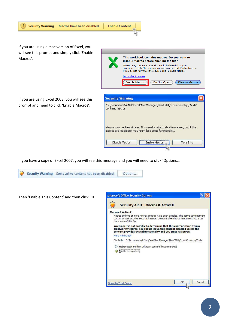



Then 'Enable This Content' and then click OK.

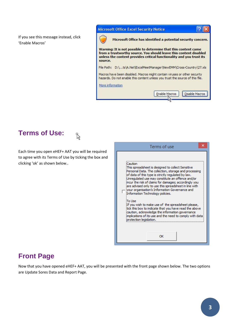If you see this message instead, click 'Enable Macros'

#### **Microsoft Office Excel Security Notice**



Microsoft Office has identified a potential security concern.

**Enable Macros** 

 $\overline{?}$ 

Disable Macros

Warning: It is not possible to determine that this content came from a trustworthy source. You should leave this content disabled unless the content provides critical functionality and you trust its source.

File Path: D:\...ts\A.Net\ExcelMeetManager\NewEMM\Cross-Country\27.xls

Macros have been disabled. Macros might contain viruses or other security hazards. Do not enable this content unless you trust the source of this file.

More information





Each time you open eHEF+ AAT you will be required to agree with its Terms of Use by ticking the box and clicking 'ok' as shown below..

| Terms of use                                                                                                                                                                                                                                                                                                                                                                                                                                                                                                                                                                                                                                                                                                   |
|----------------------------------------------------------------------------------------------------------------------------------------------------------------------------------------------------------------------------------------------------------------------------------------------------------------------------------------------------------------------------------------------------------------------------------------------------------------------------------------------------------------------------------------------------------------------------------------------------------------------------------------------------------------------------------------------------------------|
| Caution<br>This spreadsheet is designed to collect Sensitive:<br>Personal Data. The collection, storage and processing<br>of data of this type is strictly regulated by law.<br>Unregulated use may constitute an offence and/or<br>incur the risk of claims for damages; accordingly you<br>are advised only to use this spreadsheet in line with<br>your organisation's Information Governance and<br>Information Technology policies.<br>To Use<br>If you wish to make use of the spreadsheet please,<br>tick this box to indicate that you have read the above<br>caution, acknowledge the information governance<br>implications of its use and the need to comply with data i<br>protection legislation. |
| ΩK                                                                                                                                                                                                                                                                                                                                                                                                                                                                                                                                                                                                                                                                                                             |

### **Front Page**

Now that you have opened eHEF+ AAT, you will be presented with the front page shown below. The two options are Update Sores Data and Report Page.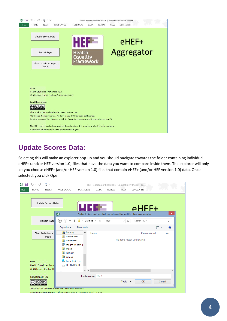

## **Update Scores Data:**

Selecting this will make an explorer pop-up and you should navigate towards the folder containing individual eHEF+ (and/or HEF version 1.0) files that have the data you want to compare inside them. The explorer will only let you choose eHEF+ (and/or HEF version 1.0) files that contain eHEF+ (and/or HEF version 1.0) data. Once selected, you click Open.

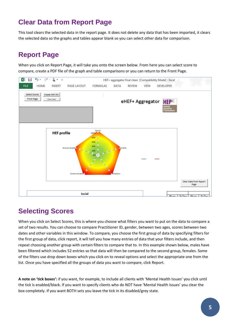## **Clear Data from Report Page**

This tool clears the selected data in the report page. It does not delete any data that has been imported, it clears the selected data so the graphs and tables appear blank so you can select other data for comparison.

## **Report Page**

When you click on Report Page, it will take you onto the screen below. From here you can select score to compare, create a PDF file of the graph and table comparisons or you can return to the Front Page.



## **Selecting Scores**

When you click on Select Scores, this is where you choose what filters you want to put on the data to compare a set of two results. You can choose to compare Practitioner ID, gender, between two ages, scores between two dates and other variables in this window. To compare, you choose the first group of data by specifying filters for the first group of data, click report, it will tell you how many entries of data that your filters include, and then repeat choosing another group with certain filters to compare that to. In this example shown below, males have been filtered which includes 52 entries so that data will then be compared to the second group, females. Some of the filters use drop down boxes which you click on to reveal options and select the appropriate one from the list. Once you have specified all the groups of data you want to compare, click Report.

**A note on 'tick boxes':** if you want, for example, to include all clients with 'Mental Health Issues' you click until the tick is enabled/black. If you want to specify clients who do NOT have 'Mental Health Issues' you clear the box completely. If you want BOTH sets you leave the tick in its disabled/grey state.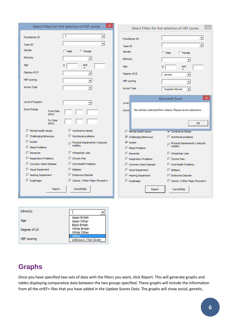|                                              | Select Filters for first selection of HEF scores | Select Filters for first selection of HEF scores                             |                                                            |
|----------------------------------------------|--------------------------------------------------|------------------------------------------------------------------------------|------------------------------------------------------------|
| Practitioner ID                              | $\blacktriangledown$                             | Practitioner ID                                                              | $\blacktriangledown$                                       |
| Team ID                                      | $\blacktriangledown$                             | Team ID                                                                      |                                                            |
| Gender                                       | $\cap$ Male<br>$\cap$ Female                     | Gender<br>$\bigcirc$ Male                                                    | $C$ Female                                                 |
| Ethnicity                                    | ▼                                                | Ethnicity                                                                    | $\blacktriangledown$                                       |
| Age                                          | and<br>≥<br><                                    | Age<br>≥                                                                     | and<br><                                                   |
| Degree of LD                                 | $\blacktriangledown$                             | Degree of LD<br>severe                                                       | $\blacktriangledown$                                       |
| <b>HEF</b> scoring                           | $\blacktriangledown$                             | <b>HEF</b> scoring                                                           | $\blacktriangledown$                                       |
| <b>Accom Type</b>                            | $\overline{\phantom{a}}$                         | Accom Type                                                                   | hospital informal<br>$\blacktriangledown$                  |
| Level of Support                             |                                                  |                                                                              | ×<br>Microsoft Excel                                       |
| Score Range<br><b>From Date</b><br>d/m/y     | $\blacktriangledown$                             | Level<br>No entries matched this criteria. Please revise selections<br>Score |                                                            |
| To Date<br>d/m/y                             |                                                  |                                                                              | OK                                                         |
| $\nabla$ Mental health issues                | $\nabla$ Continence Needs                        | $\nabla$ Mental health issues                                                | V Continence Needs                                         |
| <b>区</b> Challenging Behaviour               | $\overline{\triangledown}$ Nutritional problems  | <b>▽</b> Challenging Behaviour                                               | $\sqrt{\phantom{a}}$ Nutritional problems                  |
| $\nabla$ Autism                              | Physical Impairments / reduced<br>М<br>mobility  | $\nabla$ Autism                                                              | $\sqrt{\omega}$ Physical Impairments / reduced<br>mobility |
| $\overline{\vee}$ Sleep Problems             |                                                  | $\nabla$ Sleep Problems                                                      |                                                            |
| $\nabla$ Dementia                            | $\nabla$ Wheelchair User                         | $\nabla$ Dementia                                                            | $\nabla$ Wheelchair User                                   |
| $\overline{\mathbb{M}}$ Respiratory Problems | $\nabla$ Chronic Pain                            | $\nabla$ Respiratory Problems                                                | $\nabla$ Chronic Pain                                      |
| ○ Coronary Heart Disease                     | $\nabla$ Oral Health Problems                    | Coronary Heart Disease                                                       | $\overline{\vee}$ Oral Health Problems                     |
| $\overline{\vee}$ Visual Impairment          | $\overline{\vee}$ Epilepsy                       | $\nabla$ Visual Impairment                                                   | $\nabla$ Epilepsy                                          |
| $\sqrt{ }$ Hearing Impairment                | $\nabla$ Endocrine Disorder                      | $\overline{\vee}$ Hearing Impairment                                         | $\overline{\vee}$ Endocrine Disorder                       |
| $\nabla$ Dysphagia                           | <b>☑</b> Cancer / Other Major Physcal H.         | $\overline{\vee}$ Dysphagia                                                  | <b>▽</b> Cancer / Other Major Physcal H.                   |
| Report                                       | Cancel/Skip                                      | Report                                                                       | Cancel/Skip                                                |
|                                              |                                                  |                                                                              |                                                            |

| Ethnicity          |                                                             |
|--------------------|-------------------------------------------------------------|
| Age                | Asian British<br>Asian Other                                |
| Degree of LD       | <b>Black British</b><br><b>White British</b><br>White Other |
| <b>HEF</b> scoring | ithei<br>Unknown / Not Given                                |

## **Graphs**

Once you have specified two sets of data with the filters you want, click Report. This will generate graphs and tables displaying comparative data between the two groups specified. These graphs will include the information from all the eHEF+ files that you have added in the Update Scores Data. The graphs will show social, genetic,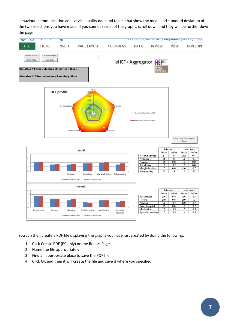behaviour, communication and service quality data and tables that show the mean and standard deviation of the two selections you have made. If you cannot see all of the graphs, scroll down and they will be further down the page.



You can then create a PDF file displaying the graphs you have just created by doing the following:

- 1. Click Create PDF (PC only) on the Report Page
- 2. Name the file appropriately
- 3. Find an appropriate place to save the PDF file
- 4. Click OK and then it will create the file and save it where you specified